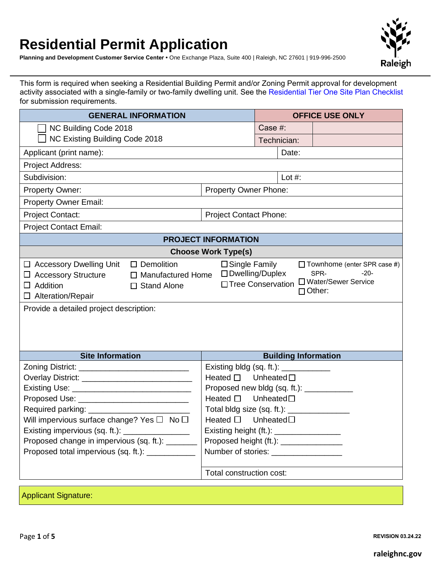## **Residential Permit Application**

**Planning and Development Customer Service Center •** One Exchange Plaza, Suite 400 | Raleigh, NC 27601 | 919-996-2500



This form is required when seeking a Residential Building Permit and/or Zoning Permit approval for development activity associated with a single-family or two-family dwelling unit. See the [Residential Tier One Site Plan Checklist](https://cityofraleigh0drupal.blob.core.usgovcloudapi.net/drupal-prod/COR15/ResidentialTierOneChecklist.pdf) for submission requirements.

| <b>GENERAL INFORMATION</b>                                                                                                                                                                                                                                                                           |                               |                                                                                 |                             | <b>OFFICE USE ONLY</b>                                                                         |  |  |
|------------------------------------------------------------------------------------------------------------------------------------------------------------------------------------------------------------------------------------------------------------------------------------------------------|-------------------------------|---------------------------------------------------------------------------------|-----------------------------|------------------------------------------------------------------------------------------------|--|--|
| NC Building Code 2018                                                                                                                                                                                                                                                                                |                               | Case #:                                                                         |                             |                                                                                                |  |  |
| NC Existing Building Code 2018                                                                                                                                                                                                                                                                       |                               |                                                                                 | Technician:                 |                                                                                                |  |  |
| Applicant (print name):                                                                                                                                                                                                                                                                              |                               |                                                                                 | Date:                       |                                                                                                |  |  |
| Project Address:                                                                                                                                                                                                                                                                                     |                               |                                                                                 |                             |                                                                                                |  |  |
| Subdivision:                                                                                                                                                                                                                                                                                         |                               |                                                                                 | Lot $#$ :                   |                                                                                                |  |  |
| <b>Property Owner:</b>                                                                                                                                                                                                                                                                               | <b>Property Owner Phone:</b>  |                                                                                 |                             |                                                                                                |  |  |
| <b>Property Owner Email:</b>                                                                                                                                                                                                                                                                         |                               |                                                                                 |                             |                                                                                                |  |  |
| <b>Project Contact:</b>                                                                                                                                                                                                                                                                              | <b>Project Contact Phone:</b> |                                                                                 |                             |                                                                                                |  |  |
| <b>Project Contact Email:</b>                                                                                                                                                                                                                                                                        |                               |                                                                                 |                             |                                                                                                |  |  |
|                                                                                                                                                                                                                                                                                                      | <b>PROJECT INFORMATION</b>    |                                                                                 |                             |                                                                                                |  |  |
|                                                                                                                                                                                                                                                                                                      | <b>Choose Work Type(s)</b>    |                                                                                 |                             |                                                                                                |  |  |
| $\Box$ Accessory Dwelling Unit<br>$\Box$ Demolition<br>$\square$ Single Family<br>□ Dwelling/Duplex<br>$\Box$ Accessory Structure<br>$\Box$ Manufactured Home<br>□ Tree Conservation<br>$\Box$ Addition<br>$\Box$ Stand Alone<br>$\Box$ Alteration/Repair<br>Provide a detailed project description: |                               |                                                                                 |                             | $\Box$ Townhome (enter SPR case #)<br>$-20-$<br>SPR-<br>□ Water/Sewer Service<br>$\Box$ Other: |  |  |
| <b>Site Information</b>                                                                                                                                                                                                                                                                              |                               |                                                                                 | <b>Building Information</b> |                                                                                                |  |  |
| Zoning District: ______________________________                                                                                                                                                                                                                                                      |                               |                                                                                 |                             |                                                                                                |  |  |
| Overlay District: _______________________________                                                                                                                                                                                                                                                    |                               | Heated $\square$ Unheated $\square$                                             |                             |                                                                                                |  |  |
|                                                                                                                                                                                                                                                                                                      |                               | Proposed new bldg (sq. ft.): ____________                                       |                             |                                                                                                |  |  |
| Proposed Use: ______________________________                                                                                                                                                                                                                                                         | Heated □ Unheated□            |                                                                                 |                             |                                                                                                |  |  |
|                                                                                                                                                                                                                                                                                                      |                               | Total bldg size (sq. ft.): ________________                                     |                             |                                                                                                |  |  |
| Will impervious surface change? Yes $\Box$ No $\Box$                                                                                                                                                                                                                                                 |                               | Heated □ Unheated□                                                              |                             |                                                                                                |  |  |
| Existing impervious (sq. ft.): __________________                                                                                                                                                                                                                                                    |                               | Existing height (ft.): _________________                                        |                             |                                                                                                |  |  |
| Proposed change in impervious (sq. ft.): _______                                                                                                                                                                                                                                                     |                               | Proposed height (ft.): _________________<br>Number of stories: ________________ |                             |                                                                                                |  |  |
| Proposed total impervious (sq. ft.): ___________                                                                                                                                                                                                                                                     |                               |                                                                                 |                             |                                                                                                |  |  |
| Total construction cost:                                                                                                                                                                                                                                                                             |                               |                                                                                 |                             |                                                                                                |  |  |
|                                                                                                                                                                                                                                                                                                      |                               |                                                                                 |                             |                                                                                                |  |  |

Applicant Signature:

Page **1** of **5 REVISION 03.24.22**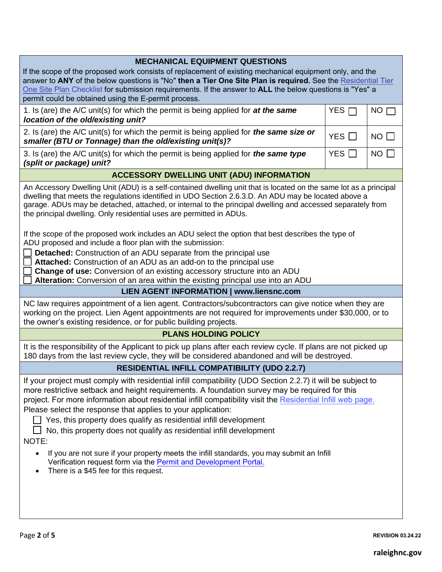| <b>MECHANICAL EQUIPMENT QUESTIONS</b>                                                                                                                                                                                                                                                                                                                                                                                                                                                                                                                                                                                                                                                                                                                                     |            |                 |  |  |  |
|---------------------------------------------------------------------------------------------------------------------------------------------------------------------------------------------------------------------------------------------------------------------------------------------------------------------------------------------------------------------------------------------------------------------------------------------------------------------------------------------------------------------------------------------------------------------------------------------------------------------------------------------------------------------------------------------------------------------------------------------------------------------------|------------|-----------------|--|--|--|
| If the scope of the proposed work consists of replacement of existing mechanical equipment only, and the<br>answer to ANY of the below questions is "No" then a Tier One Site Plan is required. See the Residential Tier                                                                                                                                                                                                                                                                                                                                                                                                                                                                                                                                                  |            |                 |  |  |  |
| One Site Plan Checklist for submission requirements. If the answer to ALL the below questions is "Yes" a                                                                                                                                                                                                                                                                                                                                                                                                                                                                                                                                                                                                                                                                  |            |                 |  |  |  |
| permit could be obtained using the E-permit process.                                                                                                                                                                                                                                                                                                                                                                                                                                                                                                                                                                                                                                                                                                                      |            |                 |  |  |  |
| 1. Is (are) the A/C unit(s) for which the permit is being applied for at the same<br>location of the old/existing unit?                                                                                                                                                                                                                                                                                                                                                                                                                                                                                                                                                                                                                                                   | YES $\Box$ | NO <sub>I</sub> |  |  |  |
| 2. Is (are) the A/C unit(s) for which the permit is being applied for <i>the same size or</i><br>smaller (BTU or Tonnage) than the old/existing unit(s)?                                                                                                                                                                                                                                                                                                                                                                                                                                                                                                                                                                                                                  | YES $\Box$ | $NO$ $\Box$     |  |  |  |
| 3. Is (are) the A/C unit(s) for which the permit is being applied for <i>the same type</i><br>(split or package) unit?                                                                                                                                                                                                                                                                                                                                                                                                                                                                                                                                                                                                                                                    | YES $\Box$ | $NO$ $\Box$     |  |  |  |
| <b>ACCESSORY DWELLING UNIT (ADU) INFORMATION</b>                                                                                                                                                                                                                                                                                                                                                                                                                                                                                                                                                                                                                                                                                                                          |            |                 |  |  |  |
| An Accessory Dwelling Unit (ADU) is a self-contained dwelling unit that is located on the same lot as a principal<br>dwelling that meets the regulations identified in UDO Section 2.6.3.D. An ADU may be located above a<br>garage. ADUs may be detached, attached, or internal to the principal dwelling and accessed separately from<br>the principal dwelling. Only residential uses are permitted in ADUs.<br>If the scope of the proposed work includes an ADU select the option that best describes the type of<br>ADU proposed and include a floor plan with the submission:                                                                                                                                                                                      |            |                 |  |  |  |
| Detached: Construction of an ADU separate from the principal use<br>Attached: Construction of an ADU as an add-on to the principal use<br><b>Change of use:</b> Conversion of an existing accessory structure into an ADU                                                                                                                                                                                                                                                                                                                                                                                                                                                                                                                                                 |            |                 |  |  |  |
| Alteration: Conversion of an area within the existing principal use into an ADU<br><b>LIEN AGENT INFORMATION   www.liensnc.com</b>                                                                                                                                                                                                                                                                                                                                                                                                                                                                                                                                                                                                                                        |            |                 |  |  |  |
| NC law requires appointment of a lien agent. Contractors/subcontractors can give notice when they are<br>working on the project. Lien Agent appointments are not required for improvements under \$30,000, or to<br>the owner's existing residence, or for public building projects.                                                                                                                                                                                                                                                                                                                                                                                                                                                                                      |            |                 |  |  |  |
| <b>PLANS HOLDING POLICY</b>                                                                                                                                                                                                                                                                                                                                                                                                                                                                                                                                                                                                                                                                                                                                               |            |                 |  |  |  |
| It is the responsibility of the Applicant to pick up plans after each review cycle. If plans are not picked up<br>180 days from the last review cycle, they will be considered abandoned and will be destroyed.                                                                                                                                                                                                                                                                                                                                                                                                                                                                                                                                                           |            |                 |  |  |  |
| <b>RESIDENTIAL INFILL COMPATIBILITY (UDO 2.2.7)</b>                                                                                                                                                                                                                                                                                                                                                                                                                                                                                                                                                                                                                                                                                                                       |            |                 |  |  |  |
| If your project must comply with residential infill compatibility (UDO Section 2.2.7) it will be subject to<br>more restrictive setback and height requirements. A foundation survey may be required for this<br>project. For more information about residential infill compatibility visit the Residential Infill web page.<br>Please select the response that applies to your application:<br>Yes, this property does qualify as residential infill development<br>No, this property does not qualify as residential infill development<br>NOTE:<br>If you are not sure if your property meets the infill standards, you may submit an Infill<br>$\bullet$<br>Verification request form via the Permit and Development Portal.<br>There is a \$45 fee for this request. |            |                 |  |  |  |
|                                                                                                                                                                                                                                                                                                                                                                                                                                                                                                                                                                                                                                                                                                                                                                           |            |                 |  |  |  |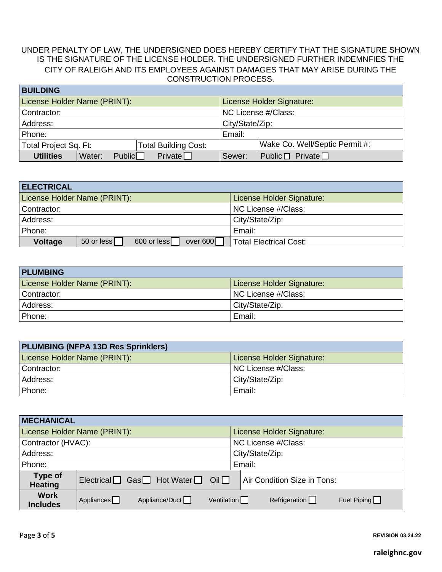## UNDER PENALTY OF LAW, THE UNDERSIGNED DOES HEREBY CERTIFY THAT THE SIGNATURE SHOWN IS THE SIGNATURE OF THE LICENSE HOLDER. THE UNDERSIGNED FURTHER INDEMNFIES THE CITY OF RALEIGH AND ITS EMPLOYEES AGAINST DAMAGES THAT MAY ARISE DURING THE CONSTRUCTION PROCESS. **BUILDING**

| <b>BUILDING</b>                                      |                                        |  |  |
|------------------------------------------------------|----------------------------------------|--|--|
| License Holder Name (PRINT):                         | License Holder Signature:              |  |  |
| Contractor:                                          | NC License #/Class:                    |  |  |
| Address:                                             | City/State/Zip:                        |  |  |
| Phone:                                               | Email:                                 |  |  |
| Total Project Sq. Ft:<br><b>Total Building Cost:</b> | Wake Co. Well/Septic Permit #:         |  |  |
| Private<br>Public<br><b>Utilities</b><br>Water:      | Public $\Box$ Private $\Box$<br>Sewer: |  |  |

| <b>ELECTRICAL</b>                                       |                               |  |
|---------------------------------------------------------|-------------------------------|--|
| License Holder Name (PRINT):                            | License Holder Signature:     |  |
| Contractor:                                             | NC License #/Class:           |  |
| Address:                                                | City/State/Zip:               |  |
| Phone:                                                  | Email:                        |  |
| 600 or less<br>over 600<br>50 or less<br><b>Voltage</b> | <b>Total Electrical Cost:</b> |  |

| <b>PLUMBING</b>              |                           |
|------------------------------|---------------------------|
| License Holder Name (PRINT): | License Holder Signature: |
| Contractor:                  | NC License #/Class:       |
| Address:                     | City/State/Zip:           |
| Phone:                       | Email:                    |

| <b>PLUMBING (NFPA 13D Res Sprinklers)</b> |                           |
|-------------------------------------------|---------------------------|
| License Holder Name (PRINT):              | License Holder Signature: |
| Contractor:                               | NC License #/Class:       |
| Address:                                  | City/State/Zip:           |
| Phone:                                    | Email:                    |

| <b>MECHANICAL</b>              |                                              |                                                                  |
|--------------------------------|----------------------------------------------|------------------------------------------------------------------|
|                                | License Holder Name (PRINT):                 | License Holder Signature:                                        |
| Contractor (HVAC):             |                                              | NC License #/Class:                                              |
| Address:                       |                                              | City/State/Zip:                                                  |
| Phone:                         |                                              | Email:                                                           |
| Type of<br><b>Heating</b>      | $Electrical$ Gas Hot Water $\Box$ Oil $\Box$ | Air Condition Size in Tons:                                      |
| <b>Work</b><br><b>Includes</b> | Appliance/Duct<br>Appliances $\Box$          | Refrigeration $\Box$<br>Ventilation $\Box$<br>Fuel Piping $\Box$ |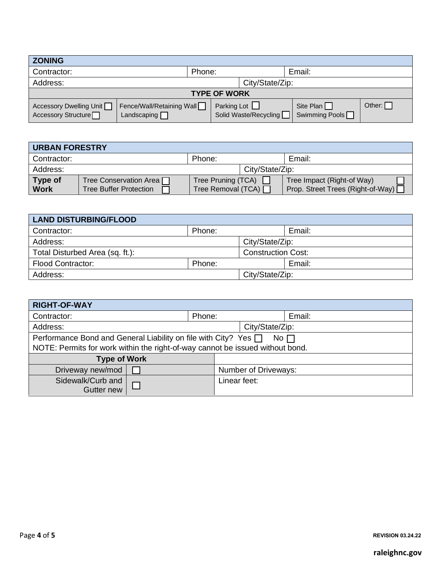| <b>ZONING</b>                                                 |                                                 |                    |                       |                             |        |
|---------------------------------------------------------------|-------------------------------------------------|--------------------|-----------------------|-----------------------------|--------|
| Contractor:                                                   | Phone:<br>Email:                                |                    |                       |                             |        |
| Address:                                                      | City/State/Zip:                                 |                    |                       |                             |        |
| <b>TYPE OF WORK</b>                                           |                                                 |                    |                       |                             |        |
| Accessory Dwelling Unit<br>Accessory Structure <sup>[1]</sup> | Fence/Wall/Retaining Wall<br>Landscaping $\Box$ | Parking Lot $\Box$ | Solid Waste/Recycling | Site Plan<br>Swimming Pools | Other: |

| <b>URBAN FORESTRY</b>  |                                                           |                                                 |                 |                                                                 |  |
|------------------------|-----------------------------------------------------------|-------------------------------------------------|-----------------|-----------------------------------------------------------------|--|
| Contractor:            |                                                           | Phone:                                          |                 | Email:                                                          |  |
| Address:               |                                                           |                                                 | City/State/Zip: |                                                                 |  |
| Type of<br><b>Work</b> | Tree Conservation Area ∏<br><b>Tree Buffer Protection</b> | Tree Pruning (TCA) $\Box$<br>Tree Removal (TCA) |                 | Tree Impact (Right-of Way)<br>Prop. Street Trees (Right-of-Way) |  |
|                        |                                                           |                                                 |                 |                                                                 |  |

| <b>LAND DISTURBING/FLOOD</b>    |        |                           |        |
|---------------------------------|--------|---------------------------|--------|
| Contractor:                     | Phone: |                           | Email: |
| Address:                        |        | City/State/Zip:           |        |
| Total Disturbed Area (sq. ft.): |        | <b>Construction Cost:</b> |        |
| <b>Flood Contractor:</b>        | Phone: |                           | Email: |
| Address:                        |        | City/State/Zip:           |        |

| <b>RIGHT-OF-WAY</b>                                                                                                                                   |        |              |                      |        |  |
|-------------------------------------------------------------------------------------------------------------------------------------------------------|--------|--------------|----------------------|--------|--|
| Contractor:                                                                                                                                           | Phone: |              |                      | Email: |  |
| Address:                                                                                                                                              |        |              | City/State/Zip:      |        |  |
| Performance Bond and General Liability on file with City? Yes $\Box$<br>NOTE: Permits for work within the right-of-way cannot be issued without bond. |        |              | $No$ $\Box$          |        |  |
| <b>Type of Work</b>                                                                                                                                   |        |              |                      |        |  |
| Driveway new/mod                                                                                                                                      |        |              | Number of Driveways: |        |  |
| Sidewalk/Curb and<br>Gutter new                                                                                                                       |        | Linear feet: |                      |        |  |